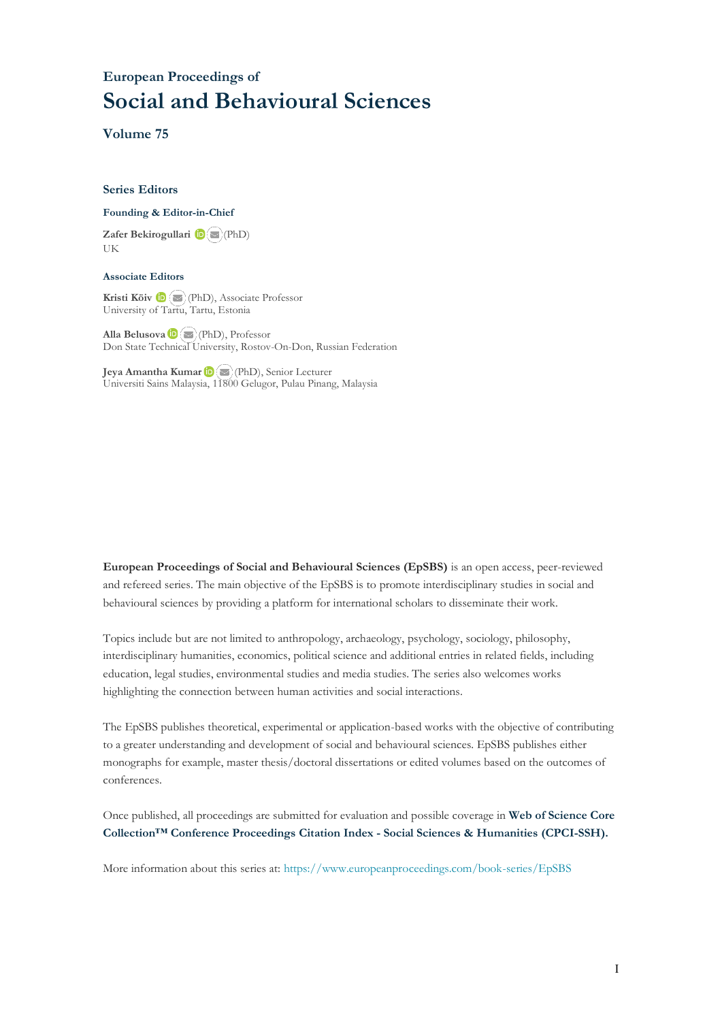## **European Proceedings of Social and Behavioural Sciences**

**Volume 75**

#### **Series Editors**

#### **Founding & Editor-in-Chief**

**Zafer Bekirogullari**(PhD) UK

#### **Associate Editors**

**Kristi Köiv** (PhD), Associate Professor University of Tartu, Tartu, Estonia

**Alla Belusova**(PhD), Professor Don State Technical University, Rostov-On-Don, Russian Federation

**Jeya Amantha Kumar**(PhD), Senior Lecturer Universiti Sains Malaysia, [1180](mailto:amantha@usm.my)0 Gelugor, Pulau Pinang, Malaysia

**European Proceedings of Social and Behavioural Sciences (EpSBS)** is an open access, peer-reviewed and refereed series. The main objective of the EpSBS is to promote interdisciplinary studies in social and behavioural sciences by providing a platform for international scholars to disseminate their work.

Topics include but are not limited to anthropology, archaeology, psychology, sociology, philosophy, interdisciplinary humanities, economics, political science and additional entries in related fields, including education, legal studies, environmental studies and media studies. The series also welcomes works highlighting the connection between human activities and social interactions.

The EpSBS publishes theoretical, experimental or application-based works with the objective of contributing to a greater understanding and development of social and behavioural sciences. EpSBS publishes either monographs for example, master thesis/doctoral dissertations or edited volumes based on the outcomes of conferences.

Once published, all proceedings are submitted for evaluation and possible coverage in **Web of [Science](https://clarivate.com/webofsciencegroup/solutions/webofscience-cpci/) Core Collection™ Conference Proceedings Citation Index - Social Sciences & Humanities [\(CPCI-SSH\).](https://clarivate.com/webofsciencegroup/solutions/webofscience-cpci/)**

More information about this series at[: https://www.europeanproceedings.com/book-series/EpSBS](https://www.europeanproceedings.com/book-series/EpSBS)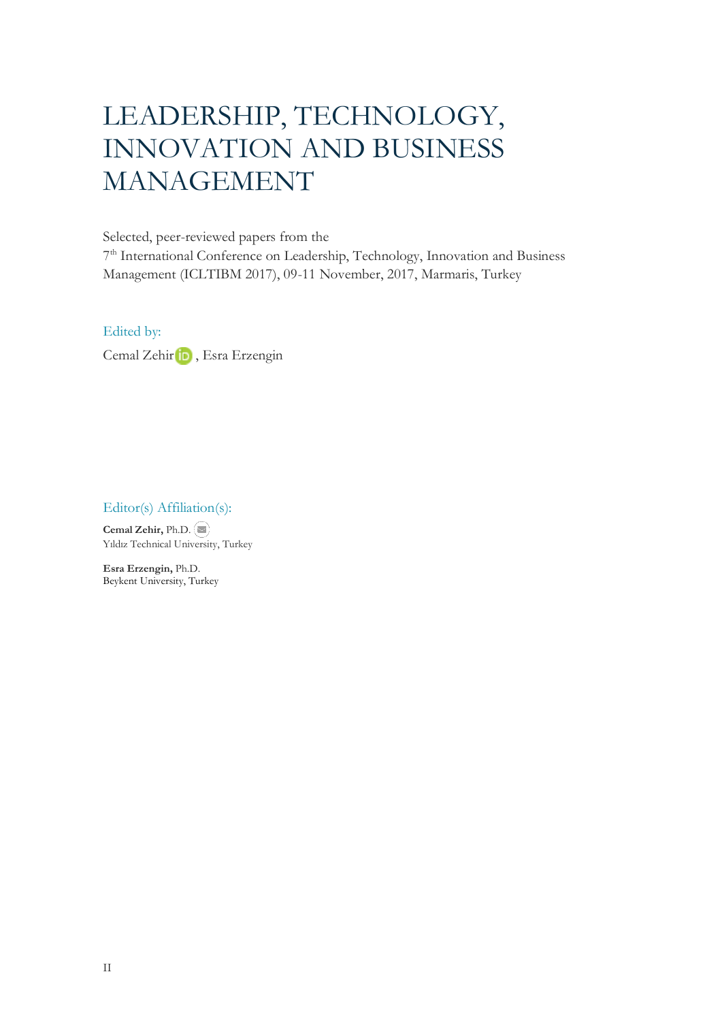# LEADERSHIP, TECHNOLOGY, INNOVATION AND BUSINESS MANAGEMENT

Selected, peer-reviewed papers from the

7<sup>th</sup> International Conference on Leadership, Technology, Innovation and Business Management (ICLTIBM 2017), 09-11 November, 2017, Marmaris, Turkey

Edited by:

CemalZehir D, Esra Erzengin

Editor(s) Affiliation(s):

**Cemal Zehir,** Ph.D. Yıldız Technical University, Turkey

**Esra Erzengin,** Ph.D. Beykent University, Turkey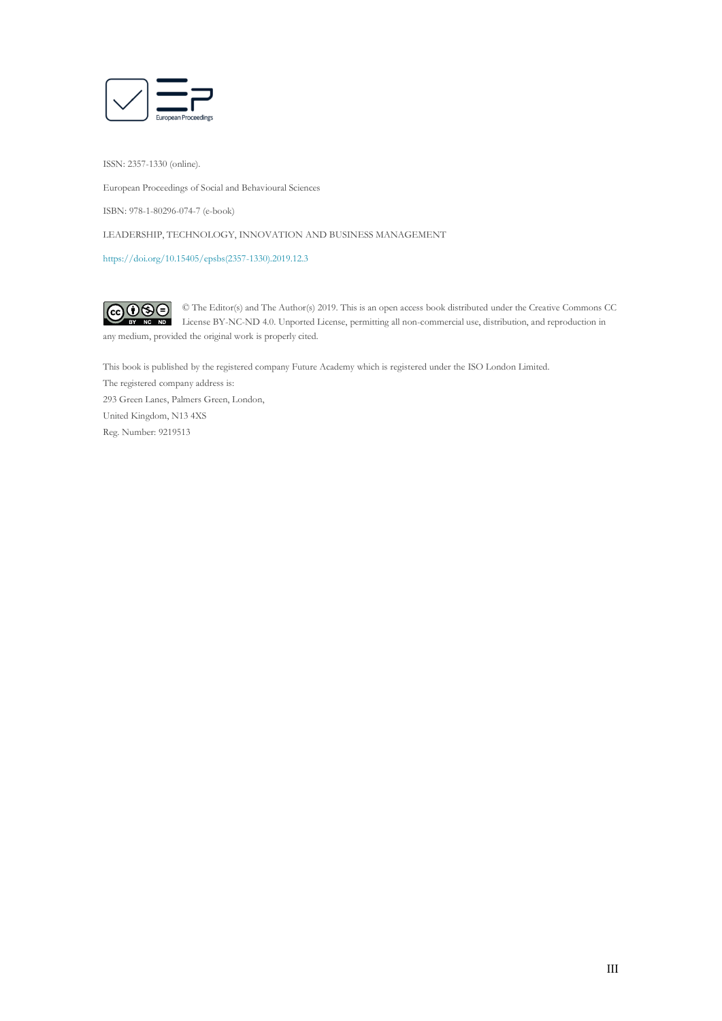

ISSN: 2357-1330 (online).

European Proceedings of Social and Behavioural Sciences

ISBN: 978-1-80296-074-7 (e-book)

LEADERSHIP, TECHNOLOGY, INNOVATION AND BUSINESS MANAGEMENT

[https://doi.org/10.15405/epsbs\(2357-1330\).2019.12.3](https://doi.org/10.15405/epsbs(2357-1330).2019.12.3)

 $\overline{G} @$ © The Editor(s) and The Author(s) 2019. This is an open access book distributed under the Creative Commons CC License BY-NC-ND 4.0. Unported License, permitting all non-commercial use, distribution, and reproduction in  $\overline{ND}$ any medium, provided the original work is properly cited.

This book is published by the registered company Future Academy which is registered under the ISO London Limited. The registered company address is: 293 Green Lanes, Palmers Green, London, United Kingdom, N13 4XS Reg. Number: 9219513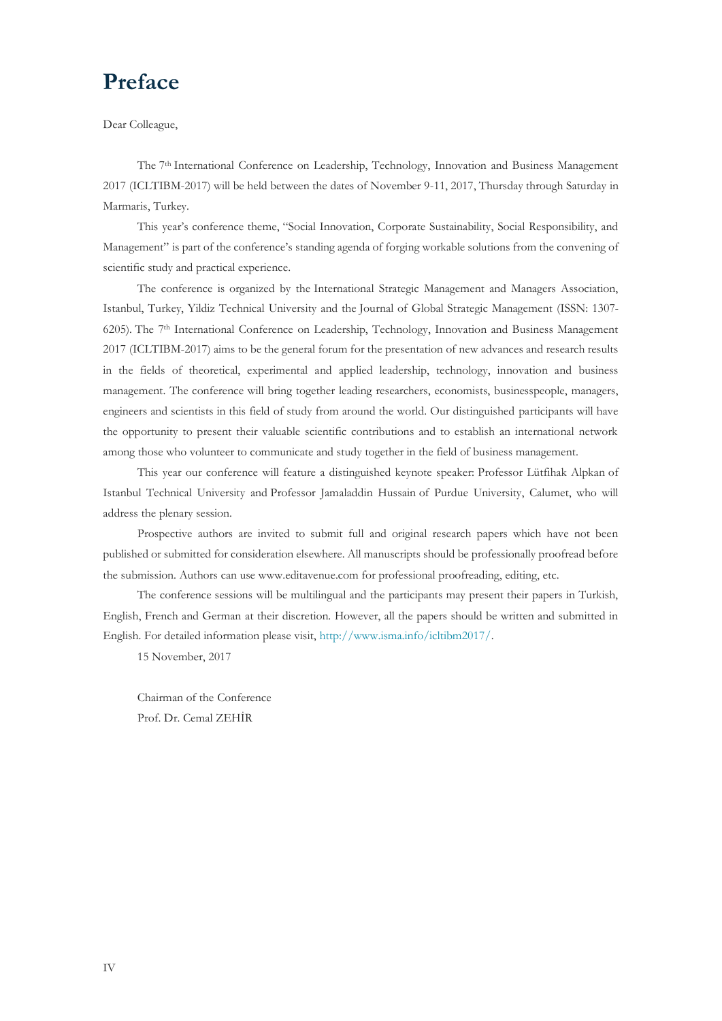## **Preface**

Dear Colleague,

The 7 th International Conference on Leadership, Technology, Innovation and Business Management 2017 (ICLTIBM-2017) will be held between the dates of November 9-11, 2017, Thursday through Saturday in Marmaris, Turkey.

This year's conference theme, "Social Innovation, Corporate Sustainability, Social Responsibility, and Management" is part of the conference's standing agenda of forging workable solutions from the convening of scientific study and practical experience.

The conference is organized by the International Strategic Management and Managers Association, Istanbul, Turkey, Yildiz Technical University and the Journal of Global Strategic Management (ISSN: 1307- 6205). The 7th International Conference on Leadership, Technology, Innovation and Business Management 2017 (ICLTIBM-2017) aims to be the general forum for the presentation of new advances and research results in the fields of theoretical, experimental and applied leadership, technology, innovation and business management. The conference will bring together leading researchers, economists, businesspeople, managers, engineers and scientists in this field of study from around the world. Our distinguished participants will have the opportunity to present their valuable scientific contributions and to establish an international network among those who volunteer to communicate and study together in the field of business management.

This year our conference will feature a distinguished keynote speaker: Professor Lütfihak Alpkan of Istanbul Technical University and Professor Jamaladdin Hussain of Purdue University, Calumet, who will address the plenary session.

Prospective authors are invited to submit full and original research papers which have not been published or submitted for consideration elsewhere. All manuscripts should be professionally proofread before the submission. Authors can use www.editavenue.com for professional proofreading, editing, etc.

The conference sessions will be multilingual and the participants may present their papers in Turkish, English, French and German at their discretion. However, all the papers should be written and submitted in English. For detailed information please visit, [http://www.isma.info/icltibm2017/.](http://www.isma.info/icltibm2017/)

15 November, 2017

Chairman of the Conference Prof. Dr. Cemal ZEHİR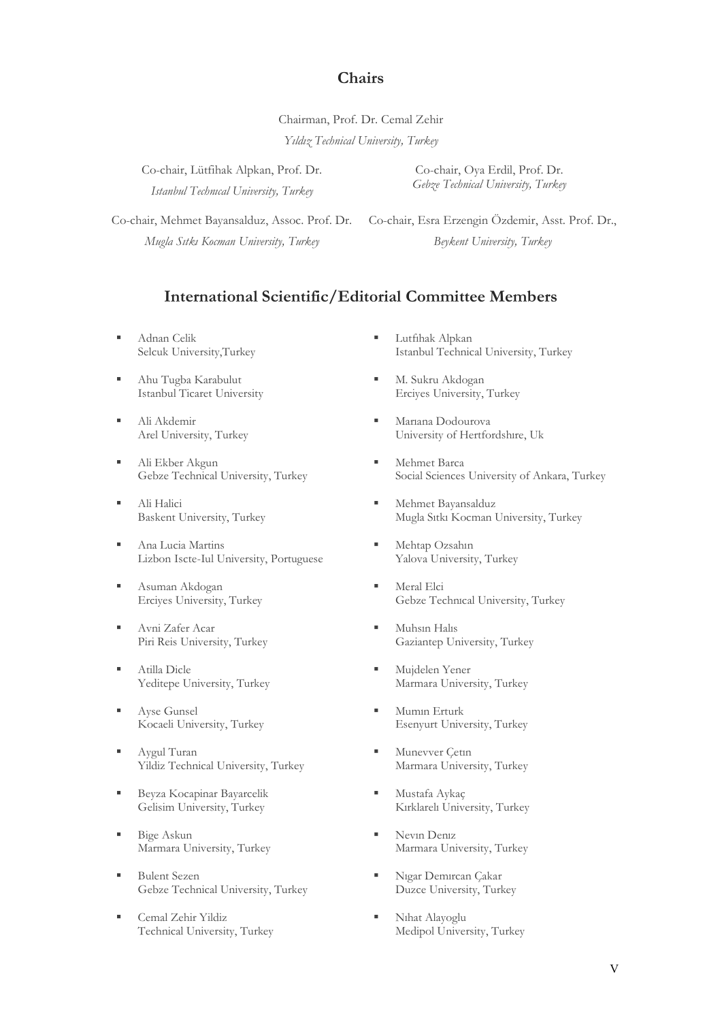### **Chairs**

Chairman, Prof. Dr. Cemal Zehir

*Yıldız Technical University, Turkey*

Co-chair, Lütfihak Alpkan, Prof. Dr. *Istanbul Technıcal University, Turkey*

Co-chair, Oya Erdil, Prof. Dr. *Gebze Technical University, Turkey*

*Mugla Sıtkı Kocman University, Turkey*

Co-chair, Mehmet Bayansalduz, Assoc. Prof. Dr. Co-chair, Esra Erzengin Özdemir, Asst. Prof. Dr., *Beykent University, Turkey*

### **International Scientific/Editorial Committee Members**

- Adnan Celik Selcuk University,Turkey
- Ahu Tugba Karabulut Istanbul Ticaret University
- Ali Akdemir Arel University, Turkey
- Ali Ekber Akgun Gebze Technical University, Turkey
- Ali Halici Baskent University, Turkey
- Ana Lucia Martins Lizbon Iscte-Iul University, Portuguese
- Asuman Akdogan Erciyes University, Turkey
- Avni Zafer Acar Piri Reis University, Turkey
- Atilla Dicle Yeditepe University, Turkey
- Ayse Gunsel Kocaeli University, Turkey
- Aygul Turan Yildiz Technical University, Turkey
- Beyza Kocapinar Bayarcelik Gelisim University, Turkey
- Bige Askun Marmara University, Turkey
- **Bulent Sezen** Gebze Technical University, Turkey
- Cemal Zehir Yildiz Technical University, Turkey
- Lutfıhak Alpkan Istanbul Technical University, Turkey
- M. Sukru Akdogan Erciyes University, Turkey
- Mariana Dodourova University of Hertfordshıre, Uk
- Mehmet Barca Social Sciences University of Ankara, Turkey
- Mehmet Bayansalduz Mugla Sıtkı Kocman University, Turkey
- Mehtap Ozsahın Yalova University, Turkey
- Meral Elci Gebze Technıcal University, Turkey
- Muhsın Halıs Gaziantep University, Turkey
- Mujdelen Yener Marmara University, Turkey
- Mumın Erturk Esenyurt University, Turkey
- Munevver Cetin Marmara University, Turkey
- Mustafa Aykac Kırklarelı University, Turkey
- Nevin Deniz Marmara University, Turkey
- Nıgar Demircan Çakar Duzce University, Turkey
- Nıhat Alayoglu Medipol University, Turkey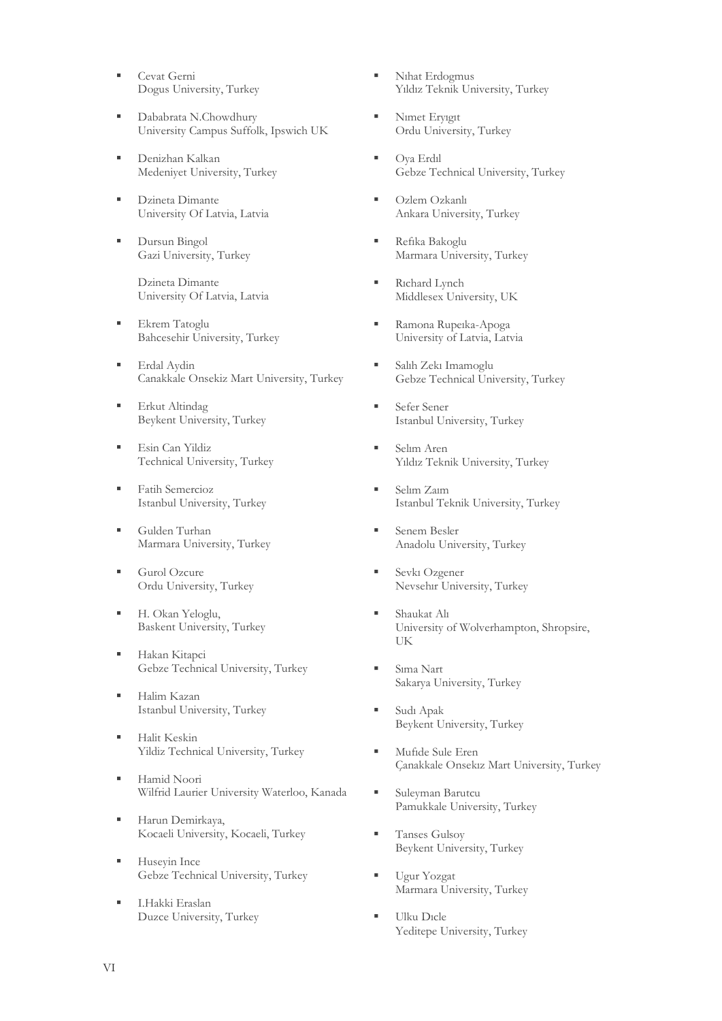- Cevat Gerni Dogus University, Turkey
- Dababrata N.Chowdhury University Campus Suffolk, Ipswich UK
- Denizhan Kalkan Medeniyet University, Turkey
- **•** Dzineta Dimante University Of Latvia, Latvia
- Dursun Bingol Gazi University, Turkey
	- Dzineta Dimante University Of Latvia, Latvia
- Ekrem Tatoglu Bahcesehir University, Turkey
- Erdal Aydin Canakkale Onsekiz Mart University, Turkey
- Erkut Altindag Beykent University, Turkey
- Esin Can Yildiz Technical University, Turkey
- **Example 1** Fatih Semercioz Istanbul University, Turkey
- Gulden Turhan Marmara University, Turkey
- Gurol Ozcure Ordu University, Turkey
- H. Okan Yeloglu, Baskent University, Turkey
- Hakan Kitapci Gebze Technical University, Turkey
- Halim Kazan Istanbul University, Turkey
- Halit Keskin Yildiz Technical University, Turkey
- Hamid Noori Wilfrid Laurier University Waterloo, Kanada
- Harun Demirkaya, Kocaeli University, Kocaeli, Turkey
- Huseyin Ince Gebze Technical University, Turkey
- I.Hakki Eraslan Duzce University, Turkey
- Nihat Erdogmus Yıldız Teknik University, Turkey
- Nimet Eryigit Ordu University, Turkey
- Oya Erdıl Gebze Technical University, Turkey
- Ozlem Ozkanlı Ankara University, Turkey
- Refika Bakoglu Marmara University, Turkey
- Richard Lynch Middlesex University, UK
- Ramona Rupeıka-Apoga University of Latvia, Latvia
- Salıh Zekı Imamoglu Gebze Technical University, Turkey
- Sefer Sener Istanbul University, Turkey
- Selim Aren Yıldız Teknik University, Turkey
- Selim Zaim Istanbul Teknik University, Turkey
- Senem Besler Anadolu University, Turkey
- Sevki Ozgener Nevsehır University, Turkey
- Shaukat Alı University of Wolverhampton, Shropsire, UK
- Sıma Nart Sakarya University, Turkey
- Sudi Apak Beykent University, Turkey
- Mufıde Sule Eren Çanakkale Onsekız Mart University, Turkey
- Suleyman Barutcu Pamukkale University, Turkey
- Tanses Gulsoy Beykent University, Turkey
- Ugur Yozgat Marmara University, Turkey
- Ulku Dıcle Yeditepe University, Turkey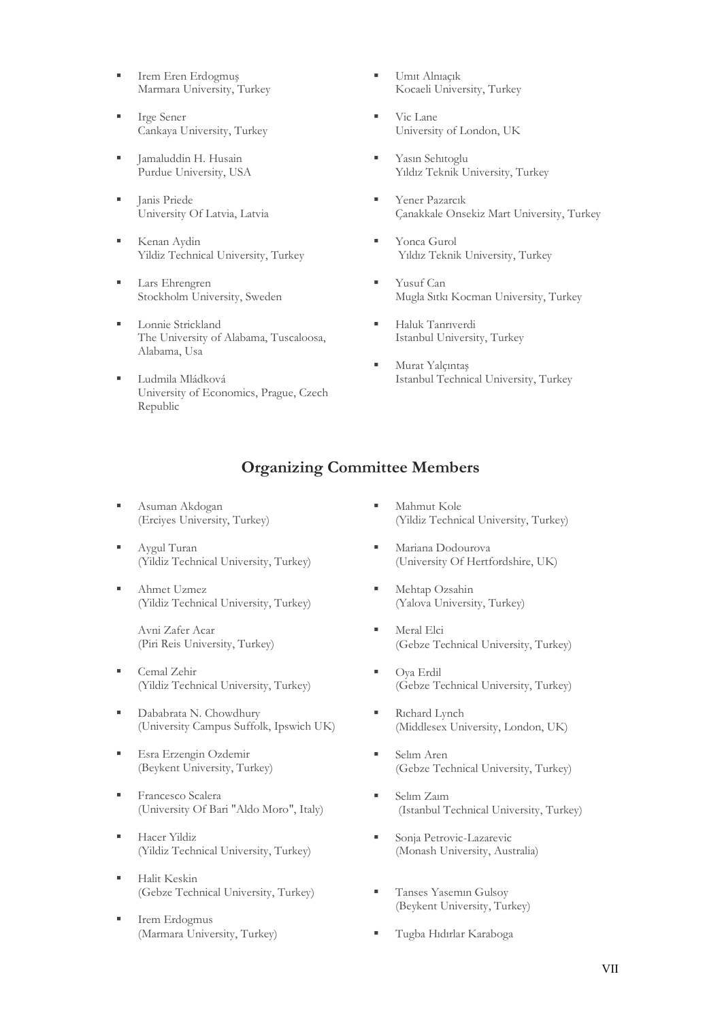- Irem Eren Erdogmuş Marmara University, Turkey
- Irge Sener Cankaya University, Turkey
- Jamaluddin H. Husain Purdue University, USA
- **Janis Priede** University Of Latvia, Latvia
- Kenan Aydin Yildiz Technical University, Turkey
- Lars Ehrengren Stockholm University, Sweden
- Lonnie Strickland The University of Alabama, Tuscaloosa, Alabama, Usa
- Ludmila Mládková University of Economics, Prague, Czech Republic
- Umit Alnıacık Kocaeli University, Turkey
- Vic Lane University of London, UK
- Yasın Sehıtoglu Yıldız Teknik University, Turkey
- Yener Pazarcık Çanakkale Onsekiz Mart University, Turkey
- Yonca Gurol Yıldız Teknik University, Turkey
- Yusuf Can Mugla Sıtkı Kocman University, Turkey
- Haluk Tanrıverdi Istanbul University, Turkey
- Murat Yalçıntaş Istanbul Technical University, Turkey

## **Organizing Committee Members**

- Asuman Akdogan (Erciyes University, Turkey)
- Aygul Turan (Yildiz Technical University, Turkey)
- Ahmet Uzmez (Yildiz Technical University, Turkey)

Avni Zafer Acar (Piri Reis University, Turkey)

- Cemal Zehir (Yildiz Technical University, Turkey)
- Dababrata N. Chowdhury (University Campus Suffolk, Ipswich UK)
- Esra Erzengin Ozdemir (Beykent University, Turkey)
- Francesco Scalera (University Of Bari "Aldo Moro", Italy)
- Hacer Yildiz (Yildiz Technical University, Turkey)
- Halit Keskin (Gebze Technical University, Turkey)
- Irem Erdogmus (Marmara University, Turkey)
- Mahmut Kole (Yildiz Technical University, Turkey)
- Mariana Dodourova (University Of Hertfordshire, UK)
- Mehtap Ozsahin (Yalova University, Turkey)
- Meral Elci (Gebze Technical University, Turkey)
- Ova Erdil (Gebze Technical University, Turkey)
- Richard Lynch (Middlesex University, London, UK)
- Selim Aren (Gebze Technical University, Turkey)
- Selım Zaım (Istanbul Technical University, Turkey)
- Sonja Petrovic-Lazarevic (Monash University, Australia)
- Tanses Yasemın Gulsoy (Beykent University, Turkey)
- Tugba Hıdırlar Karaboga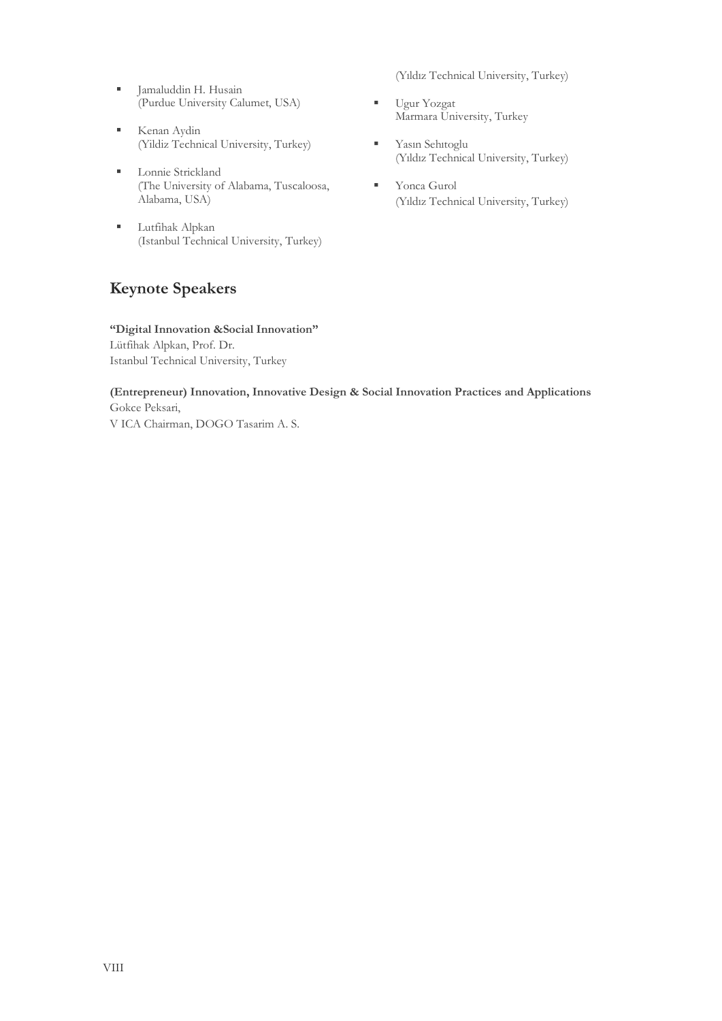- Jamaluddin H. Husain (Purdue University Calumet, USA)
- Kenan Aydin (Yildiz Technical University, Turkey)
- **Lonnie Strickland** (The University of Alabama, Tuscaloosa, Alabama, USA)
- Lutfihak Alpkan (Istanbul Technical University, Turkey)

## **Keynote Speakers**

(Yıldız Technical University, Turkey)

- Ugur Yozgat Marmara University, Turkey
- **·** Yasın Sehitoglu (Yıldız Technical University, Turkey)
- Yonca Gurol (Yıldız Technical University, Turkey)

#### **"Digital Innovation &Social Innovation"**

Lütfihak Alpkan, Prof. Dr. Istanbul Technical University, Turkey

### **(Entrepreneur) Innovation, Innovative Design & Social Innovation Practices and Applications** Gokce Peksari,

V ICA Chairman, DOGO Tasarim A. S.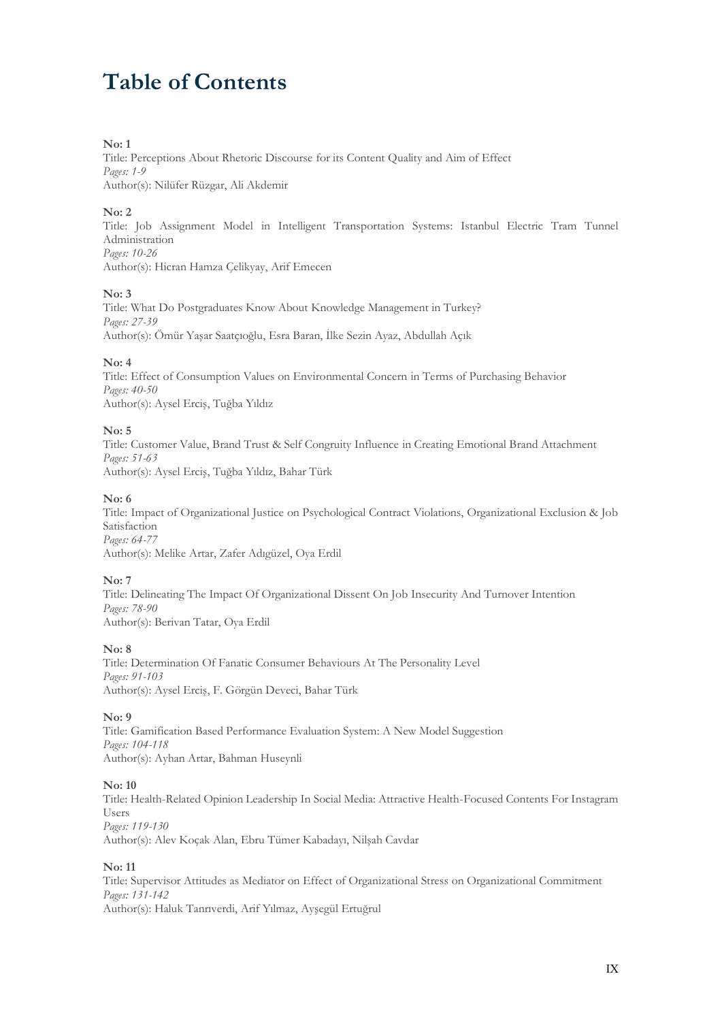## **Table of Contents**

#### **No: 1**

Title: Perceptions About Rhetoric Discourse for its Content Quality and Aim of Effect *Pages: 1-9* Author(s): Nilüfer Rüzgar, Ali Akdemir

#### **No: 2**

Title: Job Assignment Model in Intelligent Transportation Systems: Istanbul Electric Tram Tunnel Administration *Pages: 10-26*

Author(s): Hicran Hamza Çelikyay, Arif Emecen

#### **No: 3**

Title: What Do Postgraduates Know About Knowledge Management in Turkey? *Pages: 27-39* Author(s): Ömür Yaşar Saatçıoğlu, Esra Baran, İlke Sezin Ayaz, Abdullah Açık

**No: 4**

Title: Effect of Consumption Values on Environmental Concern in Terms of Purchasing Behavior *Pages: 40-50* Author(s): Aysel Erciş, Tuğba Yıldız

#### **No: 5**

Title: Customer Value, Brand Trust & Self Congruity Influence in Creating Emotional Brand Attachment *Pages: 51-63* Author(s): Aysel Erciş, Tuğba Yıldız, Bahar Türk

#### **No: 6**

Title: Impact of Organizational Justice on Psychological Contract Violations, Organizational Exclusion & Job Satisfaction *Pages: 64-77* Author(s): Melike Artar, Zafer Adıgüzel, Oya Erdil

#### **No: 7**

Title: Delineating The Impact Of Organizational Dissent On Job Insecurity And Turnover Intention *Pages: 78-90* Author(s): Berivan Tatar, Oya Erdil

#### **No: 8**

Title: Determination Of Fanatic Consumer Behaviours At The Personality Level *Pages: 91-103* Author(s): Aysel Erciş, F. Görgün Deveci, Bahar Türk

#### **No: 9**

Title: Gamification Based Performance Evaluation System: A New Model Suggestion *Pages: 104-118* Author(s): Ayhan Artar, Bahman Huseynli

#### **No: 10**

Title: Health-Related Opinion Leadership In Social Media: Attractive Health-Focused Contents For Instagram Users *Pages: 119-130* Author(s): Alev Koçak Alan, Ebru Tümer Kabadayı, Nilşah Cavdar

#### **No: 11**

Title: Supervisor Attitudes as Mediator on Effect of Organizational Stress on Organizational Commitment *Pages: 131-142* Author(s): Haluk Tanrıverdi, Arif Yılmaz, Ayşegül Ertuğrul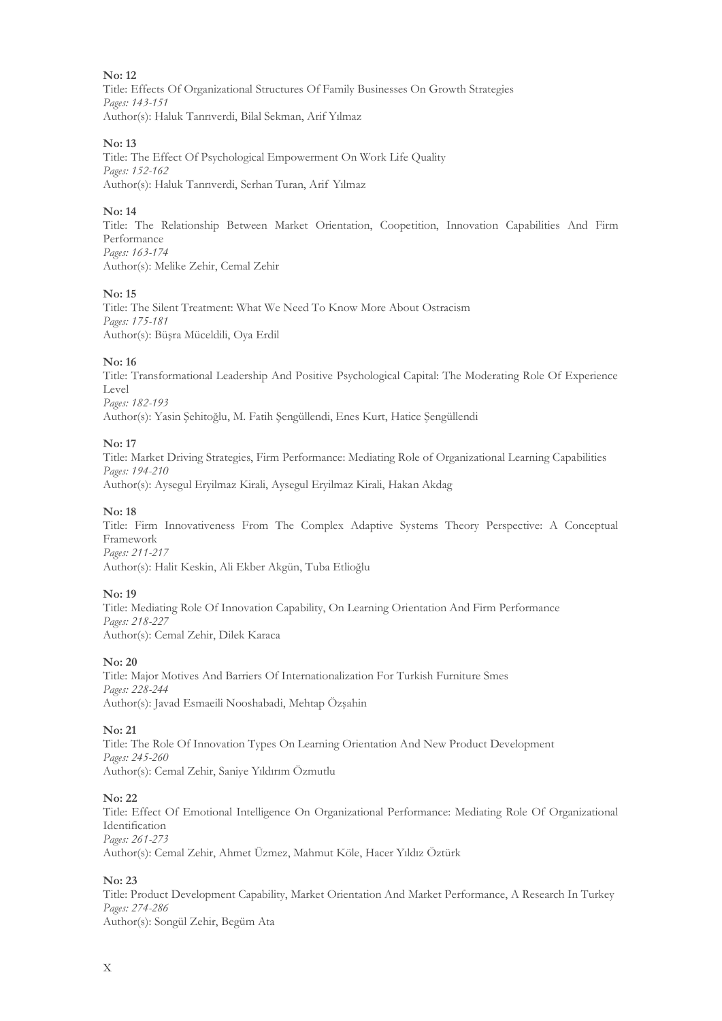#### **No: 12**

Title: Effects Of Organizational Structures Of Family Businesses On Growth Strategies *Pages: 143-151* Author(s): Haluk Tanrıverdi, Bilal Sekman, Arif Yılmaz

#### **No: 13**

Title: The Effect Of Psychological Empowerment On Work Life Quality *Pages: 152-162* Author(s): Haluk Tanrıverdi, Serhan Turan, Arif Yılmaz

#### **No: 14**

Title: The Relationship Between Market Orientation, Coopetition, Innovation Capabilities And Firm Performance *Pages: 163-174* Author(s): Melike Zehir, Cemal Zehir

#### **No: 15**

Title: The Silent Treatment: What We Need To Know More About Ostracism *Pages: 175-181* Author(s): Büşra Müceldili, Oya Erdil

#### **No: 16**

Title: Transformational Leadership And Positive Psychological Capital: The Moderating Role Of Experience Level *Pages: 182-193*

Author(s): Yasin Şehitoğlu, M. Fatih Şengüllendi, Enes Kurt, Hatice Şengüllendi

#### **No: 17**

Title: Market Driving Strategies, Firm Performance: Mediating Role of Organizational Learning Capabilities *Pages: 194-210* Author(s): Aysegul Eryilmaz Kirali, Aysegul Eryilmaz Kirali, Hakan Akdag

#### **No: 18**

Title: Firm Innovativeness From The Complex Adaptive Systems Theory Perspective: A Conceptual Framework *Pages: 211-217*

Author(s): Halit Keskin, Ali Ekber Akgün, Tuba Etlioğlu

#### **No: 19**

Title: Mediating Role Of Innovation Capability, On Learning Orientation And Firm Performance *Pages: 218-227* Author(s): Cemal Zehir, Dilek Karaca

#### **No: 20**

Title: Major Motives And Barriers Of Internationalization For Turkish Furniture Smes *Pages: 228-244* Author(s): Javad Esmaeili Nooshabadi, Mehtap Özşahin

#### **No: 21**

Title: The Role Of Innovation Types On Learning Orientation And New Product Development *Pages: 245-260* Author(s): Cemal Zehir, Saniye Yıldırım Özmutlu

#### **No: 22**

Title: Effect Of Emotional Intelligence On Organizational Performance: Mediating Role Of Organizational Identification *Pages: 261-273* Author(s): Cemal Zehir, Ahmet Üzmez, Mahmut Köle, Hacer Yıldız Öztürk

#### **No: 23**

Title: Product Development Capability, Market Orientation And Market Performance, A Research In Turkey *Pages: 274-286* Author(s): Songül Zehir, Begüm Ata